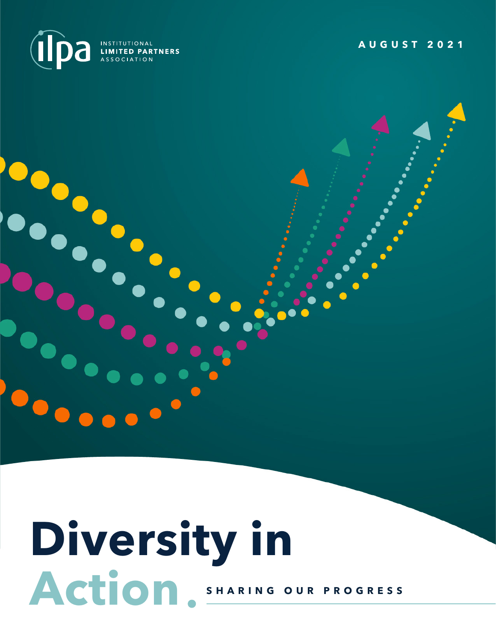

**AUGUST 2021**

# **Diversity in** ACTION<sup>8HARING OUR PROGRESS</sup>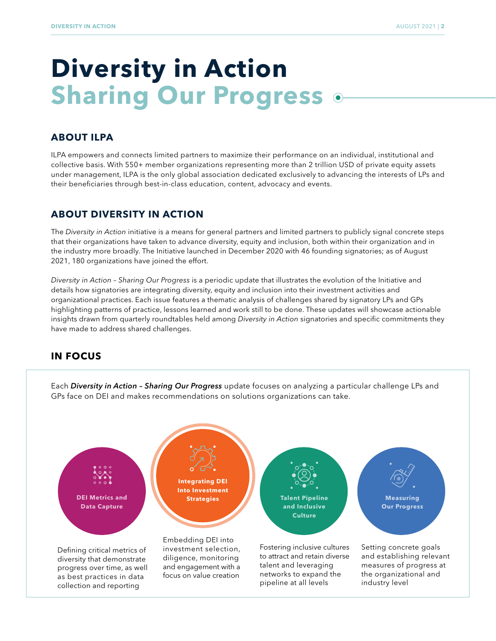## **Diversity in Action Sharing Our Progress**

#### **ABOUT ILPA**

ILPA empowers and connects limited partners to maximize their performance on an individual, institutional and collective basis. With 550+ member organizations representing more than 2 trillion USD of private equity assets under management, ILPA is the only global association dedicated exclusively to advancing the interests of LPs and their beneficiaries through best-in-class education, content, advocacy and events.

#### **ABOUT DIVERSITY IN ACTION**

The *Diversity in Action* initiative is a means for general partners and limited partners to publicly signal concrete steps that their organizations have taken to advance diversity, equity and inclusion, both within their organization and in the industry more broadly. The Initiative launched in December 2020 with 46 founding signatories; as of August 2021, 180 organizations have joined the effort.

*Diversity in Action – Sharing Our Progress* is a periodic update that illustrates the evolution of the Initiative and details how signatories are integrating diversity, equity and inclusion into their investment activities and organizational practices. Each issue features a thematic analysis of challenges shared by signatory LPs and GPs highlighting patterns of practice, lessons learned and work still to be done. These updates will showcase actionable insights drawn from quarterly roundtables held among *Diversity in Action* signatories and specific commitments they have made to address shared challenges.

#### **IN FOCUS**



Each *Diversity in Action – Sharing Our Progress* update focuses on analyzing a particular challenge LPs and GPs face on DEI and makes recommendations on solutions organizations can take.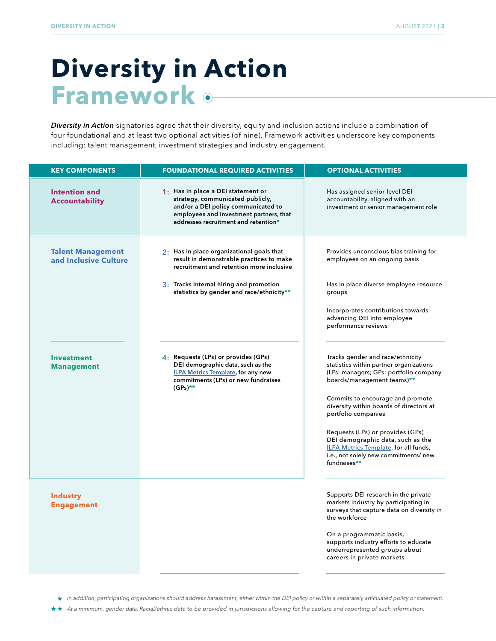## **Diversity in Action Framework**

*Diversity in Action* signatories agree that their diversity, equity and inclusion actions include a combination of four foundational and at least two optional activities (of nine). Framework activities underscore key components including: talent management, investment strategies and industry engagement.

| <b>KEY COMPONENTS</b>                             | <b>FOUNDATIONAL REQUIRED ACTIVITIES</b>                                                                                                                                                                                   | <b>OPTIONAL ACTIVITIES</b>                                                                                                                                                                                                                                                                                                                                                                                                           |  |  |
|---------------------------------------------------|---------------------------------------------------------------------------------------------------------------------------------------------------------------------------------------------------------------------------|--------------------------------------------------------------------------------------------------------------------------------------------------------------------------------------------------------------------------------------------------------------------------------------------------------------------------------------------------------------------------------------------------------------------------------------|--|--|
| <b>Intention and</b><br><b>Accountability</b>     | 1: Has in place a DEI statement or<br>strategy, communicated publicly,<br>and/or a DEI policy communicated to<br>employees and investment partners, that<br>addresses recruitment and retention*                          | Has assigned senior-level DEI<br>accountability, aligned with an<br>investment or senior management role                                                                                                                                                                                                                                                                                                                             |  |  |
| <b>Talent Management</b><br>and Inclusive Culture | 2: Has in place organizational goals that<br>result in demonstrable practices to make<br>recruitment and retention more inclusive<br>3: Tracks internal hiring and promotion<br>statistics by gender and race/ethnicity** | Provides unconscious bias training for<br>employees on an ongoing basis<br>Has in place diverse employee resource<br>groups<br>Incorporates contributions towards<br>advancing DEI into employee<br>performance reviews                                                                                                                                                                                                              |  |  |
| <b>Investment</b><br><b>Management</b>            | 4: Requests (LPs) or provides (GPs)<br>DEI demographic data, such as the<br><b>ILPA Metrics Template, for any new</b><br>commitments (LPs) or new fundraises<br>$(GPs)$ **                                                | Tracks gender and race/ethnicity<br>statistics within partner organizations<br>(LPs: managers; GPs: portfolio company<br>boards/management teams)**<br>Commits to encourage and promote<br>diversity within boards of directors at<br>portfolio companies<br>Requests (LPs) or provides (GPs)<br>DEI demographic data, such as the<br>ILPA Metrics Template, for all funds,<br>i.e., not solely new commitments/ new<br>fundraises** |  |  |
| <b>Industry</b><br><b>Engagement</b>              |                                                                                                                                                                                                                           | Supports DEI research in the private<br>markets industry by participating in<br>surveys that capture data on diversity in<br>the workforce<br>On a programmatic basis,<br>supports industry efforts to educate<br>underrepresented groups about<br>careers in private markets                                                                                                                                                        |  |  |

*In addition, participating organizations should address harassment, either within the DEI policy or within a separately articulated policy or statement.*

*At a minimum, gender data. Racial/ethnic data to be provided in jurisdictions allowing for the capture and reporting of such information.*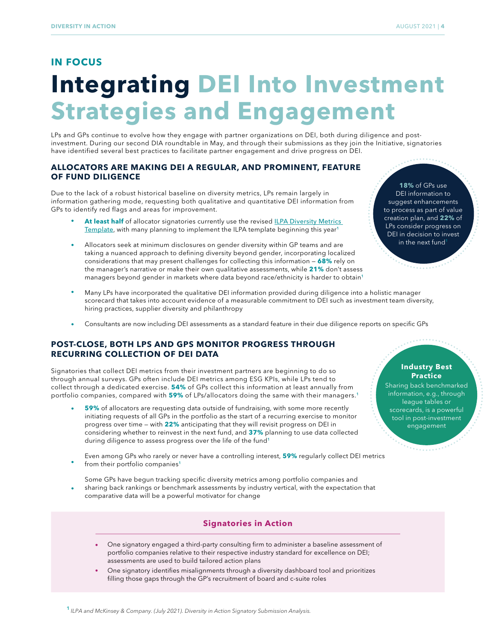### **IN FOCUS Integrating DEI Into Investment Strategies and Engagement**

LPs and GPs continue to evolve how they engage with partner organizations on DEI, both during diligence and postinvestment. During our second DIA roundtable in May, and through their submissions as they join the Initiative, signatories have identified several best practices to facilitate partner engagement and drive progress on DEI.

#### **ALLOCATORS ARE MAKING DEI A REGULAR, AND PROMINENT, FEATURE OF FUND DILIGENCE**

Due to the lack of a robust historical baseline on diversity metrics, LPs remain largely in information gathering mode, requesting both qualitative and quantitative DEI information from GPs to identify red flags and areas for improvement.

- At least half of allocator signatories currently use the revised **ILPA Diversity Metrics** [Template](https://go.ilpa.org/l/224412/2020-11-02/kdjhs), with many planning to implement the ILPA template beginning this year<sup>1</sup>
- Allocators seek at minimum disclosures on gender diversity within GP teams and are taking a nuanced approach to defining diversity beyond gender, incorporating localized considerations that may present challenges for collecting this information — **68%** rely on the manager's narrative or make their own qualitative assessments, while **21%** don't assess managers beyond gender in markets where data beyond race/ethnicity is harder to obtain<sup>1</sup>

**18%** of GPs use DEI information to suggest enhancements to process as part of value creation plan, and **22%** of LPs consider progress on DEI in decision to invest in the next fund

*Chairman Company* 

- Many LPs have incorporated the qualitative DEI information provided during diligence into a holistic manager scorecard that takes into account evidence of a measurable commitment to DEI such as investment team diversity, hiring practices, supplier diversity and philanthropy
- Consultants are now including DEI assessments as a standard feature in their due diligence reports on specific GPs

#### **POST-CLOSE, BOTH LPS AND GPS MONITOR PROGRESS THROUGH RECURRING COLLECTION OF DEI DATA**

Signatories that collect DEI metrics from their investment partners are beginning to do so through annual surveys. GPs often include DEI metrics among ESG KPIs, while LPs tend to collect through a dedicated exercise. **54%** of GPs collect this information at least annually from portfolio companies, compared with **59%** of LPs/allocators doing the same with their managers.<sup>1</sup>

- **59%** of allocators are requesting data outside of fundraising, with some more recently initiating requests of all GPs in the portfolio as the start of a recurring exercise to monitor progress over time — with **22%** anticipating that they will revisit progress on DEI in considering whether to reinvest in the next fund, and **37%** planning to use data collected during diligence to assess progress over the life of the fund<sup>1</sup>
- Even among GPs who rarely or never have a controlling interest, **59%** regularly collect DEI metrics from their portfolio companies<sup>1</sup>
- Some GPs have begun tracking specific diversity metrics among portfolio companies and sharing back rankings or benchmark assessments by industry vertical, with the expectation that comparative data will be a powerful motivator for change

#### **Signatories in Action**

- One signatory engaged a third-party consulting firm to administer a baseline assessment of portfolio companies relative to their respective industry standard for excellence on DEI; assessments are used to build tailored action plans
- One signatory identifies misalignments through a diversity dashboard tool and prioritizes filling those gaps through the GP's recruitment of board and c-suite roles

tool in post-investment engagement

Sharing back benchmarked information, e.g., through league tables or scorecards, is a powerful

**The Secret** 

**Industry Best Practice**

**1** *ILPA and McKinsey & Company. (July 2021). Diversity in Action Signatory Submission Analysis.*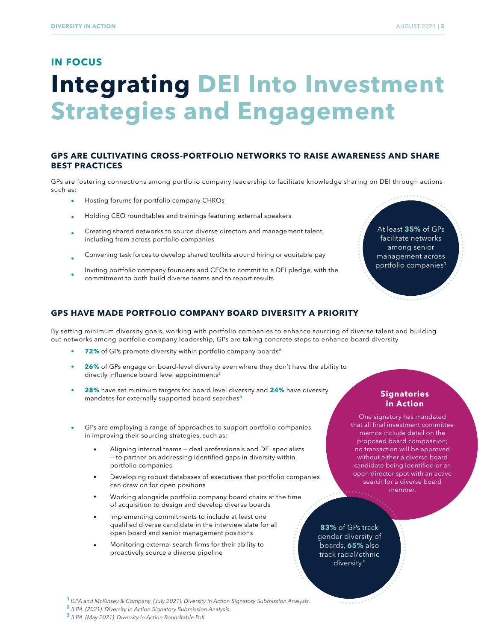#### **IN FOCUS**

## **Integrating DEI Into Investment Strategies and Engagement**

#### **GPS ARE CULTIVATING CROSS-PORTFOLIO NETWORKS TO RAISE AWARENESS AND SHARE BEST PRACTICES**

GPs are fostering connections among portfolio company leadership to facilitate knowledge sharing on DEI through actions such as:

- Hosting forums for portfolio company CHROs
- Holding CEO roundtables and trainings featuring external speakers
- Creating shared networks to source diverse directors and management talent, including from across portfolio companies
- Convening task forces to develop shared toolkits around hiring or equitable pay
- Inviting portfolio company founders and CEOs to commit to a DEI pledge, with the commitment to both build diverse teams and to report results

**GPS HAVE MADE PORTFOLIO COMPANY BOARD DIVERSITY A PRIORITY**

By setting minimum diversity goals, working with portfolio companies to enhance sourcing of diverse talent and building out networks among portfolio company leadership, GPs are taking concrete steps to enhance board diversity

- **72%** of GPs promote diversity within portfolio company boards**<sup>2</sup>**
- **26%** of GPs engage on board-level diversity even where they don't have the ability to directly influence board level appointments<sup>3</sup>
- ò. **28%** have set minimum targets for board level diversity and **24%** have diversity mandates for externally supported board searches**<sup>3</sup>**
- GPs are employing a range of approaches to support portfolio companies in improving their sourcing strategies, such as:
	- Aligning internal teams deal professionals and DEI specialists — to partner on addressing identified gaps in diversity within portfolio companies
	- Developing robust databases of executives that portfolio companies can draw on for open positions
	- Working alongside portfolio company board chairs at the time of acquisition to design and develop diverse boards
	- Implementing commitments to include at least one qualified diverse candidate in the interview slate for all open board and senior management positions
	- Monitoring external search firms for their ability to proactively source a diverse pipeline

**83%** of GPs track gender diversity of boards, **65%** also track racial/ethnic diversity **<sup>1</sup>**

 $\frac{1}{2} \sum_{i=1}^{n} \frac{1}{2} \sum_{j=1}^{n} \frac{1}{2} \sum_{j=1}^{n} \frac{1}{2} \sum_{j=1}^{n} \frac{1}{2} \sum_{j=1}^{n} \frac{1}{2} \sum_{j=1}^{n} \frac{1}{2} \sum_{j=1}^{n} \frac{1}{2} \sum_{j=1}^{n} \frac{1}{2} \sum_{j=1}^{n} \frac{1}{2} \sum_{j=1}^{n} \frac{1}{2} \sum_{j=1}^{n} \frac{1}{2} \sum_{j=1}^{n} \frac{1}{2} \sum_{j=1}^{n$ 

**<sup>1</sup>** *ILPA and McKinsey & Company. (July 2021). Diversity in Action Signatory Submission Analysis.*

**<sup>2</sup>***ILPA. (2021). Diversity in Action Signatory Submission Analysis.*

**<sup>3</sup>***ILPA. (May 2021). Diversity in Action Roundtable Poll.*

At least **35%** of GPs facilitate networks among senior management across portfolio companies**<sup>1</sup>**

One signatory has mandated that all final investment committee memos include detail on the proposed board composition; no transaction will be approved without either a diverse board candidate being identified or an open director spot with an active search for a diverse board member.

**Signatories in Action**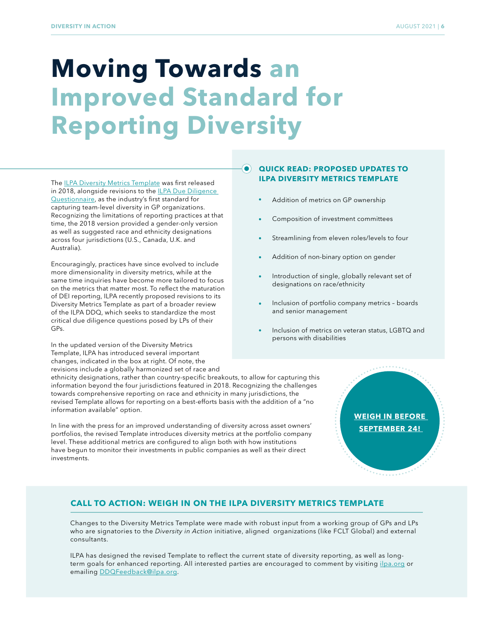## **Moving Towards an Improved Standard for Reporting Diversity**

The [ILPA Diversity Metrics Template](https://go.ilpa.org/l/224412/2020-11-02/kdjhs) was first released in 2018, alongside revisions to the **ILPA Due Diligence** [Questionnaire,](https://ilpa.org/due-diligence-questionnaire/) as the industry's first standard for capturing team-level diversity in GP organizations. Recognizing the limitations of reporting practices at that time, the 2018 version provided a gender-only version as well as suggested race and ethnicity designations across four jurisdictions (U.S., Canada, U.K. and Australia).

Encouragingly, practices have since evolved to include more dimensionality in diversity metrics, while at the same time inquiries have become more tailored to focus on the metrics that matter most. To reflect the maturation of DEI reporting, ILPA recently proposed revisions to its Diversity Metrics Template as part of a broader review of the ILPA DDQ, which seeks to standardize the most critical due diligence questions posed by LPs of their GPs.

In the updated version of the Diversity Metrics Template, ILPA has introduced several important changes, indicated in the box at right. Of note, the revisions include a globally harmonized set of race and

ethnicity designations, rather than country-specific breakouts, to allow for capturing this information beyond the four jurisdictions featured in 2018. Recognizing the challenges towards comprehensive reporting on race and ethnicity in many jurisdictions, the revised Template allows for reporting on a best-efforts basis with the addition of a "no information available" option.

In line with the press for an improved understanding of diversity across asset owners' portfolios, the revised Template introduces diversity metrics at the portfolio company level. These additional metrics are configured to align both with how institutions have begun to monitor their investments in public companies as well as their direct investments.

#### $\bullet$ **QUICK READ: PROPOSED UPDATES TO ILPA DIVERSITY METRICS TEMPLATE**

- Addition of metrics on GP ownership
- Composition of investment committees
- Streamlining from eleven roles/levels to four
- Addition of non-binary option on gender
- Introduction of single, globally relevant set of designations on race/ethnicity
- Inclusion of portfolio company metrics boards and senior management
- Inclusion of metrics on veteran status, LGBTQ and persons with disabilities

## **[WEIGH IN BEFORE](https://ilpa.org/due-diligence-questionnaire/)  SEPTEMBER 24!**

#### **CALL TO ACTION: WEIGH IN ON THE ILPA DIVERSITY METRICS TEMPLATE**

Changes to the Diversity Metrics Template were made with robust input from a working group of GPs and LPs who are signatories to the *Diversity in Action* initiative, aligned organizations (like FCLT Global) and external consultants.

ILPA has designed the revised Template to reflect the current state of diversity reporting, as well as longterm goals for enhanced reporting. All interested parties are encouraged to comment by visiting [ilpa.org](https://ilpa.org/due-diligence-questionnaire/) or emailing [DDQFeedback@ilpa.org.](mailto:DDQFeedback%40ilpa.org?subject=)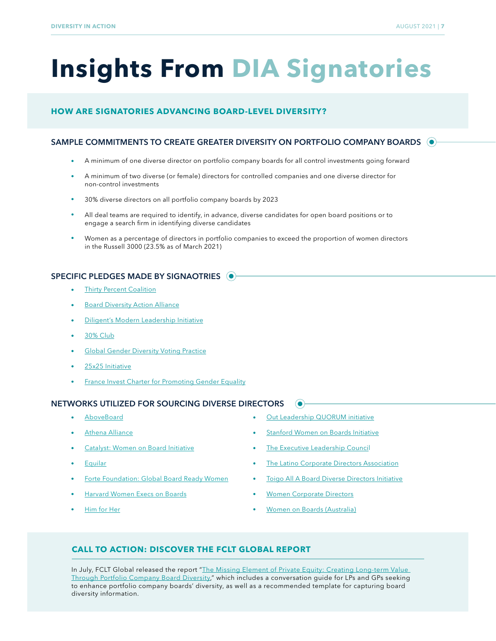## **Insights From DIA Signatories**

#### **HOW ARE SIGNATORIES ADVANCING BOARD-LEVEL DIVERSITY?**

#### SAMPLE COMMITMENTS TO CREATE GREATER DIVERSITY ON PORTFOLIO COMPANY BOARDS ( $\bullet$ )

- A minimum of one diverse director on portfolio company boards for all control investments going forward  $\bullet$
- A minimum of two diverse (or female) directors for controlled companies and one diverse director for  $\bullet$ non-control investments
- 30% diverse directors on all portfolio company boards by 2023
- $\bullet$ All deal teams are required to identify, in advance, diverse candidates for open board positions or to engage a search firm in identifying diverse candidates
- $\bullet$ Women as a percentage of directors in portfolio companies to exceed the proportion of women directors in the Russell 3000 (23.5% as of March 2021)

#### SPECIFIC PLEDGES MADE BY SIGNAOTRIES  $\odot$

- [Thirty Percent Coalition](https://www.30percentcoalition.org/)
- [Board Diversity Action Alliance](https://boarddiversityactionalliance.com/)
- [Diligent's Modern Leadership Initiative](https://diligent.com/modern-leadership)
- [30% Club](https://30percentclub.org/)
- [Global Gender Diversity Voting Practice](https://www.cppinvestments.com/public-media/headlines/2018/cppib-increase-board-diversity-advocacy)
- [25x25 Initiative](https://www.svlg.org/25-by-25-pledge/)
- **[France Invest Charter for Promoting Gender Equality](https://www.franceinvest.eu/en/charter-promoting-gender-equality)**

#### NETWORKS UTILIZED FOR SOURCING DIVERSE DIRECTORS

- [AboveBoard](https://www.aboveboard.com/ )
- [Athena Alliance](https://athenaalliance.com/ )
- [Catalyst: Women on Board Initiative](https://www.catalyst.org/catalyst-women-on-board/ )
- **[Equilar](https://www.equilar.com)**
- [Forte Foundation: Global Board Ready Women](http://www.fortefoundation.org/site/PageServer?pagename=women_boards)
- [Harvard Women Execs on Boards](https://www.womenexecsonboards.com/ )
- [Him for Her](https://www.himforher.org/ )

[Out Leadership QUORUM initiative](https://outleadership.com/talent-accelerators/#quorum )

 $\odot$ 

- [Stanford Women on Boards Initiative](https://www.gsb.stanford.edu/alumni/communities/womens-programs/stanford-women-boards-initiative)
- [The Executive Leadership Counci](https://www.elcinfo.com/)l
- [The Latino Corporate Directors Association](https://latinocorporatedirectors.org/ )
- [Toigo All A Board Diverse Directors Initiative](https://toigofoundation.org/institute/all-a-board/)
- [Women Corporate Directors](https://www.womencorporatedirectors.org/)
- [Women on Boards \(Australia\)](https://www.womenonboards.net/en-au/home)

#### **CALL TO ACTION: DISCOVER THE FCLT GLOBAL REPORT**

In July, FCLT Global released the report "The Missing Element of Private Equity: Creating Long-term Value [Through Portfolio Company Board Diversity,](https://www.fcltglobal.org/resource/private-equity-board-diversity/)" which includes a conversation guide for LPs and GPs seeking to enhance portfolio company boards' diversity, as well as a recommended template for capturing board diversity information.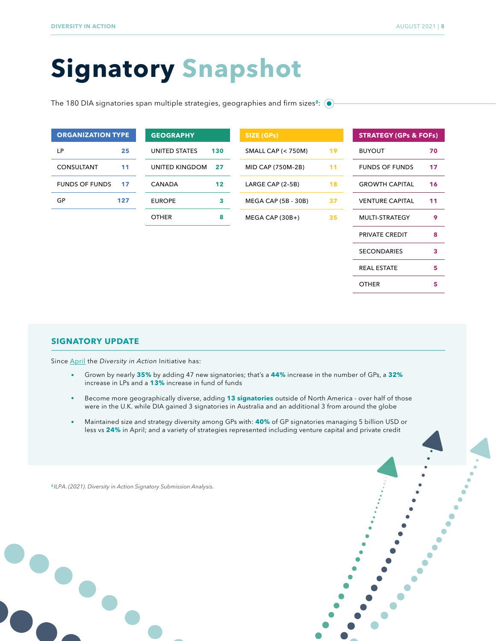**5**

## **Signatory Snapshot**

The 180 DIA signatories span multiple strategies, geographies and firm sizes**<sup>2</sup>** :

| <b>ORGANIZATION TYPE</b><br><b>GEOGRAPHY</b> |     | SIZE (GPs)     |     | <b>STRATEGY (GPs &amp; FOFs)</b> |    |                        |    |
|----------------------------------------------|-----|----------------|-----|----------------------------------|----|------------------------|----|
| LP                                           | 25  | UNITED STATES  | 130 | <b>SMALL CAP (&lt; 750M)</b>     | 19 | <b>BUYOUT</b>          | 70 |
| <b>CONSULTANT</b>                            | 11  | UNITED KINGDOM | 27  | MID CAP (750M-2B)                | 11 | <b>FUNDS OF FUNDS</b>  | 17 |
| <b>FUNDS OF FUNDS</b>                        | 17  | <b>CANADA</b>  | 12  | LARGE CAP (2-5B)                 | 18 | <b>GROWTH CAPITAL</b>  | 16 |
| GP                                           | 127 | <b>EUROPE</b>  | 3   | <b>MEGA CAP (5B - 30B)</b>       | 37 | <b>VENTURE CAPITAL</b> | 11 |
|                                              |     | <b>OTHER</b>   | 8   | $MEGA CAP (30B+)$                | 35 | MULTI-STRATEGY         | 9  |
|                                              |     |                |     |                                  |    | PRIVATE CREDIT         | 8  |
|                                              |     |                |     |                                  |    | <b>SECONDARIES</b>     | 3  |
|                                              |     |                |     |                                  |    | <b>REAL ESTATE</b>     | 5  |

#### **SIGNATORY UPDATE**

Since [April](https://go.ilpa.org/l/224412/2021-04-20/lpnsn) the *Diversity in Action* Initiative has:

- Grown by nearly **35%** by adding 47 new signatories; that's a **44%** increase in the number of GPs, a **32%**  increase in LPs and a **13%** increase in fund of funds
- Become more geographically diverse, adding **13 signatories** outside of North America over half of those  $\bullet$ were in the U.K. while DIA gained 3 signatories in Australia and an additional 3 from around the globe
- Maintained size and strategy diversity among GPs with: **40%** of GP signatories managing 5 billion USD or less vs **24%** in April; and a variety of strategies represented including venture capital and private credit

**2** *ILPA. (2021). Diversity in Action Signatory Submission Analysis.*





OTHER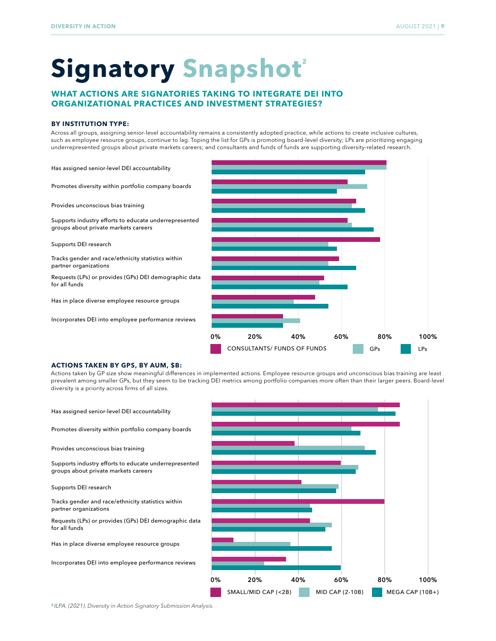## **Signatory Snapshot<sup>2</sup>**

#### **WHAT ACTIONS ARE SIGNATORIES TAKING TO INTEGRATE DEI INTO ORGANIZATIONAL PRACTICES AND INVESTMENT STRATEGIES?**

#### **BY INSTITUTION TYPE:**

Across all groups, assigning senior-level accountability remains a consistently adopted practice, while actions to create inclusive cultures, such as employee resource groups, continue to lag. Toping the list for GPs is promoting board-level diversity; LPs are prioritizing engaging underrepresented groups about private markets careers; and consultants and funds of funds are supporting diversity-related research.

Has assigned senior-level DEI accountability

Promotes diversity within portfolio company boards

Provides unconscious bias training

Supports industry efforts to educate underrepresented groups about private markets careers

Supports DEI research

Tracks gender and race/ethnicity statistics within partner organizations

Requests (LPs) or provides (GPs) DEI demographic data for all funds

Has in place diverse employee resource groups

Incorporates DEI into employee performance reviews



#### **ACTIONS TAKEN BY GPS, BY AUM, \$B:**

Actions taken by GP size show meaningful differences in implemented actions. Employee resource groups and unconscious bias training are least prevalent among smaller GPs, but they seem to be tracking DEI metrics among portfolio companies more often than their larger peers. Board-level diversity is a priority across firms of all sizes.

Has assigned senior-level DEI accountability Promotes diversity within portfolio company boards Provides unconscious bias training Supports industry efforts to educate underrepresented groups about private markets careers Supports DEI research Tracks gender and race/ethnicity statistics within partner organizations Requests (LPs) or provides (GPs) DEI demographic data for all funds Has in place diverse employee resource groups Incorporates DEI into employee performance reviews SMALL/MID CAP (<2B) MID CAP (2-10B) MEGA CAP (10B+) 0% 20% 40% 60% 80% 100%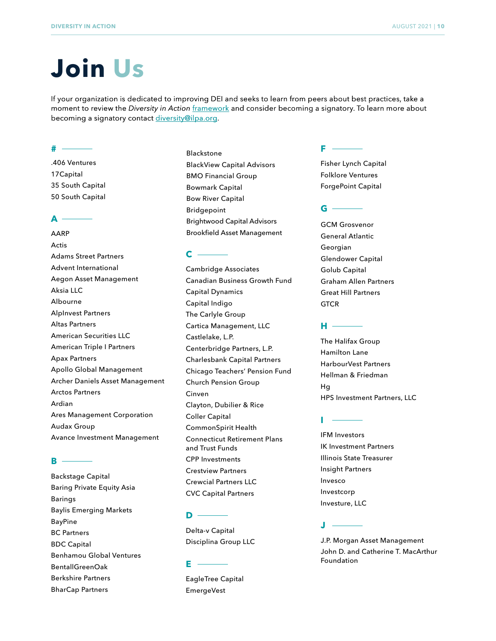## **Join Us**

If your organization is dedicated to improving DEI and seeks to learn from peers about best practices, take a moment to review the *Diversity in Action* [framework](https://ilpa.org/diaframework/) and consider becoming a signatory. To learn more about becoming a signatory contact [diversity@ilpa.org](mailto:diversity@ilpa.org).

#### **#**

.406 Ventures 17Capital 35 South Capital 50 South Capital

#### **A**

AARP Actis Adams Street Partners Advent International Aegon Asset Management Aksia LLC Albourne AlpInvest Partners Altas Partners American Securities LLC American Triple I Partners Apax Partners Apollo Global Management Archer Daniels Asset Management Arctos Partners Ardian Ares Management Corporation Audax Group Avance Investment Management

#### **B**

Backstage Capital Baring Private Equity Asia Barings Baylis Emerging Markets BayPine BC Partners BDC Capital Benhamou Global Ventures BentallGreenOak Berkshire Partners BharCap Partners

Blackstone BlackView Capital Advisors BMO Financial Group Bowmark Capital Bow River Capital Bridgepoint Brightwood Capital Advisors Brookfield Asset Management

#### **C**

Cambridge Associates Canadian Business Growth Fund Capital Dynamics Capital Indigo The Carlyle Group Cartica Management, LLC Castlelake, L.P. Centerbridge Partners, L.P. Charlesbank Capital Partners Chicago Teachers' Pension Fund Church Pension Group Cinven Clayton, Dubilier & Rice Coller Capital CommonSpirit Health Connecticut Retirement Plans and Trust Funds CPP Investments Crestview Partners Crewcial Partners LLC CVC Capital Partners

#### **D**

Delta-v Capital Disciplina Group LLC

#### **E**

EagleTree Capital EmergeVest

#### **F**

Fisher Lynch Capital Folklore Ventures ForgePoint Capital

#### **G**

GCM Grosvenor General Atlantic Georgian Glendower Capital Golub Capital Graham Allen Partners Great Hill Partners **GTCR** 

#### **H**

The Halifax Group Hamilton Lane HarbourVest Partners Hellman & Friedman Hg HPS Investment Partners, LLC

#### **I**

IFM Investors IK Investment Partners Illinois State Treasurer Insight Partners Invesco Investcorp Investure, LLC

#### **J**

J.P. Morgan Asset Management John D. and Catherine T. MacArthur Foundation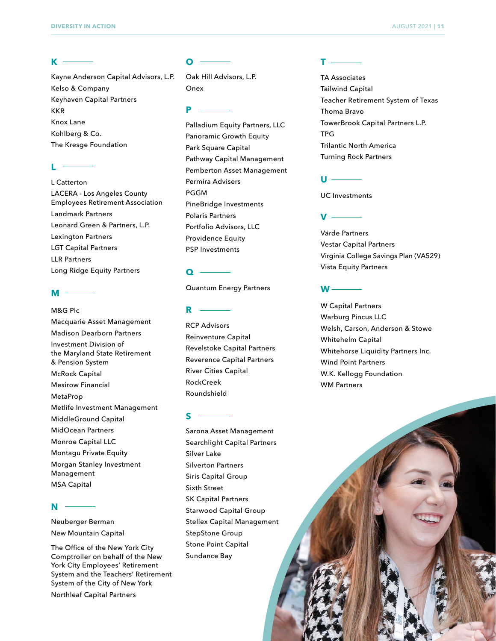#### **K**

Kayne Anderson Capital Advisors, L.P. Kelso & Company Keyhaven Capital Partners KKR Knox Lane Kohlberg & Co. The Kresge Foundation

#### $\mathbf{L}$

L Catterton LACERA - Los Angeles County Employees Retirement Association Landmark Partners Leonard Green & Partners, L.P. Lexington Partners LGT Capital Partners LLR Partners Long Ridge Equity Partners

#### **M**

M&G Plc Macquarie Asset Management Madison Dearborn Partners Investment Division of the Maryland State Retirement & Pension System McRock Capital Mesirow Financial MetaProp Metlife Investment Management MiddleGround Capital MidOcean Partners Monroe Capital LLC Montagu Private Equity Morgan Stanley Investment Management MSA Capital

#### **N**

Neuberger Berman New Mountain Capital

The Office of the New York City Comptroller on behalf of the New York City Employees' Retirement System and the Teachers' Retirement System of the City of New York

Northleaf Capital Partners

#### **O**

Oak Hill Advisors, L.P. Onex

#### **P**

Palladium Equity Partners, LLC Panoramic Growth Equity Park Square Capital Pathway Capital Management Pemberton Asset Management Permira Advisers PGGM PineBridge Investments Polaris Partners Portfolio Advisors, LLC Providence Equity PSP Investments

#### **Q**

Quantum Energy Partners

#### **R**

RCP Advisors Reinventure Capital Revelstoke Capital Partners Reverence Capital Partners River Cities Capital RockCreek Roundshield

#### **S**

Sarona Asset Management Searchlight Capital Partners Silver Lake Silverton Partners Siris Capital Group Sixth Street SK Capital Partners Starwood Capital Group Stellex Capital Management StepStone Group Stone Point Capital Sundance Bay

#### **T**

TA Associates Tailwind Capital Teacher Retirement System of Texas Thoma Bravo TowerBrook Capital Partners L.P. TPG Trilantic North America Turning Rock Partners

#### **U**

UC Investments

#### **V**

Värde Partners Vestar Capital Partners Virginia College Savings Plan (VA529) Vista Equity Partners

#### **W**

W Capital Partners Warburg Pincus LLC Welsh, Carson, Anderson & Stowe Whitehelm Capital Whitehorse Liquidity Partners Inc. Wind Point Partners W.K. Kellogg Foundation WM Partners